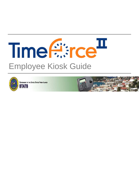# Time firred<sup>II</sup> Employee Kiosk Guide



**GOVERNMENT OF THE UNITED STATES VIRGIN ISLANDS** 

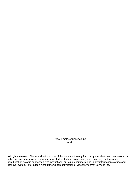Qqest Employer Services Inc. 2011

All rights reserved. The reproduction or use of this document in any form or by any electronic, mechanical, or other means, now known or hereafter invented, including photocopying and recording, and including republication as or in connection with instructional or training seminars, and in any information storage and retrieval system, is forbidden without the written permission of Qqest Employer Services Inc.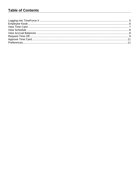#### **Table of Contents**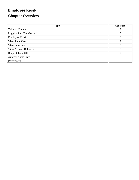# **Employee Kiosk Chapter Overview**

| <b>Topic</b>                 | See Page |
|------------------------------|----------|
| <b>Table of Contents</b>     | 3        |
| Logging into TimeForce II    |          |
| <b>Employee Kiosk</b>        | 6        |
| View Time Card               | 7        |
| View Schedule                | 8        |
| <b>View Accrual Balances</b> | 8        |
| Request Time Off             | 9        |
| Approve Time Card            | 11       |
| Preferences                  | 11       |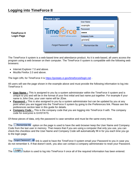**TimeForce II Login Page** 

|                                   | <b>User Name:</b>           |
|-----------------------------------|-----------------------------|
|                                   | example                     |
|                                   | Password:                   |
| Time <sup>(→</sup> rce            |                             |
| powered by QQBST software systems | <b>Company Code:</b>        |
|                                   | gvistats                    |
| Forgot Password?                  | $\Box$ Remember Me<br>Login |

The TimeForce II system is a web-based time and attendance product. As it is web-based, all users access the program using a web browser on their computer. The TimeForce II system is compatible with the following web browsers:

- Internet Explorer 7.0 and above.
- Mozilla Firefox 2.0 and above.

The login URL for TimeForce II is https://gvistats.vi.gov/timeforceii/login.net .

All users will see the page shown in the example above and must provide the following information to log into TimeForce II:

- **User Name –** This is assigned to you by a system administrator within the TimeForce II system and is unique to you and will be in the format of your first initial and last name put together. For example if your name is John Doe, your user name will be JDoe.
- **Password –** This is also assigned to you by a system administrator but can be updated by you at any point when you are logged into the TimeForce II system by going to the Preferences link. Please see the preferences section later in this guide for details.
- **Company Code –** This is the company code that you are logging into TimeForce II with. The company code for everyone is GVISTATS.

Of these pieces of data, only the password is case sensitive and must be the same every time.

The **P**Remember Me option on the page is used to have the web browser keep the User Name and Company Code from the last user in memory. That means that if you are using a computer that only you use, you can check this checkbox and the User Name and Company Code will automatically fill in for you each time you go to the login page.

| The Forgot Password? > link is used to have the TimeForce II system email your Password to you in case you     |
|----------------------------------------------------------------------------------------------------------------|
| do not remember it. If that doesn't work, you also can contact a company administrator to reset your Password. |

The Login button is used to log into TimeForce II once all of the required information has been entered.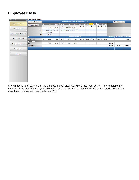## **Employee Kiosk**

| <b>Kiosk Links</b>           | <b>Re</b> Employee, Example |      |                                                    |            |            |            |                                         |    |    |                 |                                                                                                   |    |    |    |       |                                     |       |
|------------------------------|-----------------------------|------|----------------------------------------------------|------------|------------|------------|-----------------------------------------|----|----|-----------------|---------------------------------------------------------------------------------------------------|----|----|----|-------|-------------------------------------|-------|
|                              | <b>Previous Pay Period</b>  |      |                                                    |            |            |            | Sunday 10/9/2011 to Saturday 10/22/2011 |    |    |                 |                                                                                                   |    |    |    |       | <b>Next Pay Period</b>              |       |
| <b>View Time Card</b>        | Overtime Week               | Sun  | <b>Mon</b>                                         | <b>Tue</b> | <b>Wed</b> | <b>Thu</b> | Fri                                     |    |    | Sat   Sun   Mon | Tue Wed Thu Fri Sat                                                                               |    |    |    |       |                                     |       |
|                              |                             | 9    | 10                                                 | 11         | 12         | 13         | 14                                      | 15 | 16 | $\sqrt{17}$     | 18 19                                                                                             | 20 | 21 | 22 |       |                                     |       |
| <b>View Schedule</b>         | In                          |      | 8:00 AM . 8:00 AM . 8:00 AM . 8:00 AM . 8:00 AM .  |            |            |            |                                         |    |    |                 |                                                                                                   |    |    |    |       |                                     |       |
|                              | Out                         |      | 12:00 PM . 5:00 PM . 5:00 PM . 5:00 PM . 5:00 PM . |            |            |            |                                         |    |    |                 |                                                                                                   |    |    |    |       |                                     |       |
| <b>View Accrual Balances</b> | In                          |      | 1:00 PM • *                                        |            |            |            |                                         |    |    |                 |                                                                                                   |    |    |    |       |                                     |       |
|                              | Out                         |      | $5:00$ PM $\bullet$                                |            |            |            |                                         |    |    |                 |                                                                                                   |    |    |    |       |                                     |       |
|                              | $\circ$                     |      |                                                    |            |            |            | <b>Accumulated Hours</b>                |    |    |                 |                                                                                                   |    |    |    |       | Total Paid Total Unpaid Total Hours |       |
| <b>Request Time Off</b>      | <b>Total Hours</b>          | 0.00 | 8.00                                               | 9.00       | 9.00       | 9.00       | 9.00                                    |    |    |                 | $0.00 \,   \, 0.00 \,   \, 0.00 \,   \, 0.00 \,   \, 0.00 \,   \, 0.00 \,   \, 0.00 \,   \, 0.00$ |    |    |    |       |                                     | 44.00 |
|                              | <b>Pay Codes</b>            |      |                                                    |            |            |            |                                         |    |    |                 |                                                                                                   |    |    |    |       |                                     |       |
| <b>Approve Time Card</b>     | <b>REG</b>                  |      | 8.00                                               | 9.00       | 9.00       | 9.00       | 9.00                                    |    |    |                 |                                                                                                   |    |    |    | 44.00 |                                     |       |
|                              | <b>Grand Totals</b>         |      |                                                    |            |            |            |                                         |    |    |                 |                                                                                                   |    |    |    | 44.00 | 0.00                                | 44.00 |
| <b>Preferences</b>           |                             |      |                                                    |            |            |            |                                         |    |    |                 |                                                                                                   |    |    |    |       |                                     |       |
|                              |                             |      |                                                    |            |            |            |                                         |    |    |                 |                                                                                                   |    |    |    |       |                                     |       |
|                              |                             |      |                                                    |            |            |            |                                         |    |    |                 |                                                                                                   |    |    |    |       |                                     |       |
| Logout                       |                             |      |                                                    |            |            |            |                                         |    |    |                 |                                                                                                   |    |    |    |       |                                     |       |
|                              |                             |      |                                                    |            |            |            |                                         |    |    |                 |                                                                                                   |    |    |    |       |                                     |       |
|                              |                             |      |                                                    |            |            |            |                                         |    |    |                 |                                                                                                   |    |    |    |       |                                     |       |
|                              |                             |      |                                                    |            |            |            |                                         |    |    |                 |                                                                                                   |    |    |    |       |                                     |       |
|                              |                             |      |                                                    |            |            |            |                                         |    |    |                 |                                                                                                   |    |    |    |       |                                     |       |
|                              |                             |      |                                                    |            |            |            |                                         |    |    |                 |                                                                                                   |    |    |    |       |                                     |       |
|                              |                             |      |                                                    |            |            |            |                                         |    |    |                 |                                                                                                   |    |    |    |       |                                     |       |
|                              |                             |      |                                                    |            |            |            |                                         |    |    |                 |                                                                                                   |    |    |    |       |                                     |       |
|                              |                             |      |                                                    |            |            |            |                                         |    |    |                 |                                                                                                   |    |    |    |       |                                     |       |
|                              |                             |      |                                                    |            |            |            |                                         |    |    |                 |                                                                                                   |    |    |    |       |                                     |       |
|                              |                             |      |                                                    |            |            |            |                                         |    |    |                 |                                                                                                   |    |    |    |       |                                     |       |
|                              |                             |      |                                                    |            |            |            |                                         |    |    |                 |                                                                                                   |    |    |    |       |                                     |       |
|                              |                             |      |                                                    |            |            |            |                                         |    |    |                 |                                                                                                   |    |    |    |       |                                     |       |
|                              |                             |      |                                                    |            |            |            |                                         |    |    |                 |                                                                                                   |    |    |    |       |                                     |       |

Shown above is an example of the employee kiosk view. Using this interface, you will note that all of the different areas that an employee can view or use are listed on the left hand side of the screen. Below is a description of what each section is used for.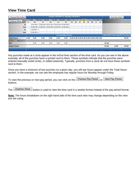#### **View Time Card**

| <b>Previous Pay Period</b> |            |                                                    |      |                                         |      | Sunday 10/9/2011 to Saturday 10/22/2011 |    |                                           |    |    |    |                     |    |    |       | <b>Next Pay Period</b>                     |       |
|----------------------------|------------|----------------------------------------------------|------|-----------------------------------------|------|-----------------------------------------|----|-------------------------------------------|----|----|----|---------------------|----|----|-------|--------------------------------------------|-------|
|                            | <b>Sun</b> | <b>Mon</b>                                         | Tue  | Wed                                     | Thu  | Fri                                     |    | Sat   Sun   Mon                           |    |    |    | Tue Wed Thu Fri Sat |    |    |       |                                            |       |
| Overtime Week              | 9          | 10                                                 | 11   | 12                                      | 13   | 14                                      | 15 | 16                                        | 17 | 18 | 19 | 20                  | 21 | 22 |       |                                            |       |
| In                         |            | $8:00$ AM $\bullet$                                |      | 8:00 AM . 8:00 AM . 8:00 AM . 8:00 AM . |      |                                         |    |                                           |    |    |    |                     |    |    |       |                                            |       |
| Out                        |            | 12:00 PM . 5:00 PM . 5:00 PM . 5:00 PM . 5:00 PM . |      |                                         |      |                                         |    |                                           |    |    |    |                     |    |    |       |                                            |       |
| In                         |            | $1:00$ PM $\bullet$ *                              |      |                                         |      |                                         |    |                                           |    |    |    |                     |    |    |       |                                            |       |
| Out                        |            | $5:00$ PM $\bullet$                                |      |                                         |      |                                         |    |                                           |    |    |    |                     |    |    |       |                                            |       |
| $\bullet$                  |            |                                                    |      |                                         |      | <b>Accumulated Hours</b>                |    |                                           |    |    |    |                     |    |    |       | <b>Total Paid Total Unpaid Total Hours</b> |       |
| <b>Total Hours</b>         | 0.00       | 8.00                                               | 9.00 | 9.00                                    | 9.00 | 9.00                                    |    | $0.00$ 0.00 0.00 0.00 0.00 0.00 0.00 0.00 |    |    |    |                     |    |    |       |                                            | 44.00 |
| <b>Pay Codes</b>           |            |                                                    |      |                                         |      |                                         |    |                                           |    |    |    |                     |    |    |       |                                            |       |
| <b>REG</b>                 |            | 8.00                                               | 9.00 | 9.00                                    | 9.00 | 9.00                                    |    |                                           |    |    |    |                     |    |    | 44.00 |                                            |       |
| <b>Grand Totals</b>        |            |                                                    |      |                                         |      |                                         |    |                                           |    |    |    |                     |    |    | 44.00 | 0.00                                       | 44.00 |
|                            |            |                                                    |      |                                         |      |                                         |    |                                           |    |    |    |                     |    |    |       |                                            |       |

Any punches made at a clock appear in the In/Out lines section of the time card. As you can see in the above example, all of the punches have a symbol next to them. These symbols indicate that the punches were entered manually (solid circle), or edited (asterisk). Typically, punches from a clock do not have these symbols next to them.

Once you have a minimum of two punches on a given day, you will see hours appear under the Total Hours section. In the example, we can see the employee has regular hours for Monday through Friday.

To view the previous or next pay period, you can click on the **Previous Pay Period** or Next Pay Period buttons.

The **Duertime Week** button is used to view the time card in a weekly format instead of the pay period format.

**Note:** The hours breakdown on the right hand side of the time card view may change depending on the view you are using.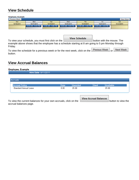#### **View Schedule**

| Employee, Example                                                                                                                    |                  |  |
|--------------------------------------------------------------------------------------------------------------------------------------|------------------|--|
| <b>Previous Week</b>                                                                                                                 | <b>Next Week</b> |  |
| <b>Mon</b><br><b>Wed</b><br>Fri<br><b>Sun</b><br><b>Thu</b><br><b>Tue</b>                                                            | Sat              |  |
| 10/16/2011<br>10/17/2011<br>10/18/2011<br>10/19/2011<br>10/20/2011<br>10/21/2011                                                     | 10/22/2011       |  |
| 8:00 AM - 5:00 PM<br>8:00 AM - 5:00 PM<br>$\vert$ 8:00 AM - 5:00 PM $\vert$<br>8:00 AM - 5:00 PM<br>$\blacksquare$ 8:00 AM - 5:00 PM |                  |  |

**View Schedule** To view your schedule, you must first click on the **button with the mouse.** The example above shows that the employee has a schedule starting at 8 am going to 5 pm Monday through Friday.

To view the schedule for a previous week or for the next week, click on the  $\sqrt{\frac{P}{P}}$  Previous Week or Next Week button.

#### **View Accrual Balances**

#### **Employee, Example**

Hire Date: 9/11/2011

| <b>Accrual Policy</b>        | Rate | Awarded | <b>Used</b> | Available |
|------------------------------|------|---------|-------------|-----------|
| <b>Standard Annual Leave</b> | 0.05 | 25.00   |             | 25.00     |

To view the current balances for your own accruals, click on the **button to view the button to view the** accrual balances page.

**View Accrual Balances**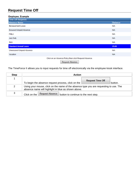## **Request Time Off**

| Employee, Example                                      |                |
|--------------------------------------------------------|----------------|
| <b>Time Off Requests</b>                               |                |
| <b>Absence Name</b>                                    | <b>Balance</b> |
| <b>Bereavement Leave</b>                               | <b>N/A</b>     |
| <b>Excused Unpaid Absence</b>                          | <b>N/A</b>     |
| <b>FMLA</b>                                            | <b>N/A</b>     |
| <b>Jury Duty</b>                                       | <b>N/A</b>     |
| <b>Sick</b>                                            | <b>N/A</b>     |
| <b>Standard Annual Leave</b>                           | 25.00          |
| <b>Unexcused Unpaid Absence</b>                        | <b>N/A</b>     |
| Vacation                                               | <b>N/A</b>     |
| Click on an Absence Policy then click Request Absence. |                |

Request Absence

The TimeForce II allows you to input requests for time off electronically via the employee kiosk interface.

| <b>Step</b> | Action                                                                                                                                        |
|-------------|-----------------------------------------------------------------------------------------------------------------------------------------------|
|             | <b>Request Time Off</b><br>To begin the absence request process, click on the<br>button.                                                      |
| 2           | Using your mouse, click on the name of the absence type you are requesting to use. The<br>absence name will highlight in blue as shown above. |
| 3           | Request Absence<br>Click on the $\mathbb I$<br>button to continue to the next step.                                                           |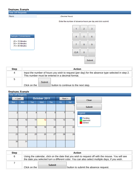| <b>Employee, Example</b>                                                             |                                                             |
|--------------------------------------------------------------------------------------|-------------------------------------------------------------|
| <b>Time Off Requests</b>                                                             |                                                             |
| Hours                                                                                | (Decimal Hours)                                             |
|                                                                                      | Enter the number of absence hours per day and click submit. |
| Sample Conversions<br>$.25 = 15$ Minutes<br>$.50 = 30$ Minutes<br>$.75 = 45$ Minutes | $\overline{2}$<br>3<br>1<br>5<br>6<br>4<br>8<br>7<br>9      |
|                                                                                      | <b>CLR</b><br>0                                             |
|                                                                                      | Submit                                                      |

| <b>Step</b> | <b>Action</b>                                                                                                                                        |
|-------------|------------------------------------------------------------------------------------------------------------------------------------------------------|
| 4           | Input the number of hours you wish to request (per day) for the absence type selected in step 2.<br>This number must be entered in a decimal format. |
| 5           | Submit<br>Click on the<br>button to continue to the next step.                                                                                       |

#### Employee, Example

| <b>Time Off Requests</b> |     |              |     |     |        |                  |                    |
|--------------------------|-----|--------------|-----|-----|--------|------------------|--------------------|
| < Last                   |     | October 2011 |     |     | Next > |                  | Clear              |
| Sun                      | Mon | Tue          | Wed | Thu | Fri    | Sat              |                    |
|                          |     |              |     |     |        |                  | <b>Submit</b>      |
| $\overline{2}$           | 3   | 4            | 5   | 6   | 7      | $\boldsymbol{8}$ | Legend<br>Pending  |
| 9                        | 10  | 11           | 12  | 13  | 14     | 15               | Approved<br>Denied |
| 16                       | 17  | 18           | 19  | 20  | 21     | 22               |                    |
| 23                       | 24  | 25           | 26  | 27  | 28     | 29               |                    |
| 30                       | 31  |              |     |     |        |                  |                    |

| <b>Step</b> | <b>Action</b>                                                                                                                                                                                    |  |  |  |  |  |  |
|-------------|--------------------------------------------------------------------------------------------------------------------------------------------------------------------------------------------------|--|--|--|--|--|--|
| 6           | Using the calendar, click on the date that you wish to request off with the mouse. You will see<br>the date you selected turn a different color. You can also select multiple days, if you wish. |  |  |  |  |  |  |
|             | <b>Submit</b><br>button to submit the absence request.<br>Click on the                                                                                                                           |  |  |  |  |  |  |